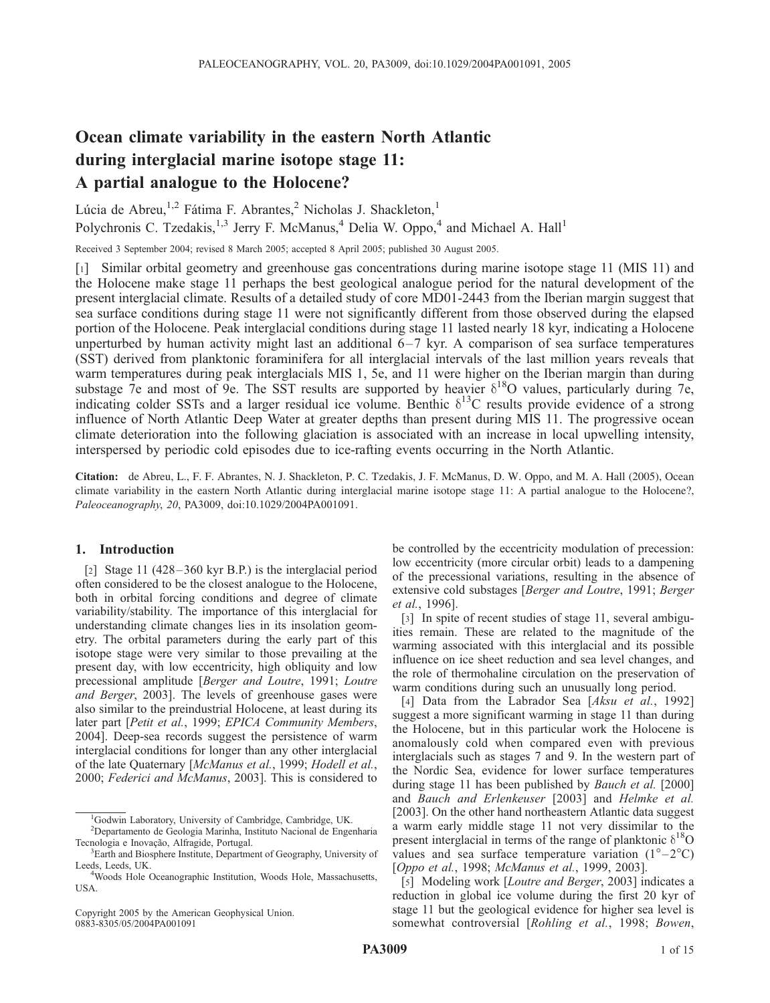# Ocean climate variability in the eastern North Atlantic during interglacial marine isotope stage 11: A partial analogue to the Holocene?

Lúcia de Abreu,<sup>1,2</sup> Fátima F. Abrantes,<sup>2</sup> Nicholas J. Shackleton,<sup>1</sup> Polychronis C. Tzedakis,  $^{1,3}$  Jerry F. McManus,  $^{4}$  Delia W. Oppo,  $^{4}$  and Michael A. Hall<sup>1</sup>

Received 3 September 2004; revised 8 March 2005; accepted 8 April 2005; published 30 August 2005.

[1] Similar orbital geometry and greenhouse gas concentrations during marine isotope stage 11 (MIS 11) and the Holocene make stage 11 perhaps the best geological analogue period for the natural development of the present interglacial climate. Results of a detailed study of core MD01-2443 from the Iberian margin suggest that sea surface conditions during stage 11 were not significantly different from those observed during the elapsed portion of the Holocene. Peak interglacial conditions during stage 11 lasted nearly 18 kyr, indicating a Holocene unperturbed by human activity might last an additional 6–7 kyr. A comparison of sea surface temperatures (SST) derived from planktonic foraminifera for all interglacial intervals of the last million years reveals that warm temperatures during peak interglacials MIS 1, 5e, and 11 were higher on the Iberian margin than during substage 7e and most of 9e. The SST results are supported by heavier  $\delta^{18}O$  values, particularly during 7e, indicating colder SSTs and a larger residual ice volume. Benthic  $\delta^{13}C$  results provide evidence of a strong influence of North Atlantic Deep Water at greater depths than present during MIS 11. The progressive ocean climate deterioration into the following glaciation is associated with an increase in local upwelling intensity, interspersed by periodic cold episodes due to ice-rafting events occurring in the North Atlantic.

Citation: de Abreu, L., F. F. Abrantes, N. J. Shackleton, P. C. Tzedakis, J. F. McManus, D. W. Oppo, and M. A. Hall (2005), Ocean climate variability in the eastern North Atlantic during interglacial marine isotope stage 11: A partial analogue to the Holocene?, Paleoceanography, 20, PA3009, doi:10.1029/2004PA001091.

#### 1. Introduction

[2] Stage 11 (428 – 360 kyr B.P.) is the interglacial period often considered to be the closest analogue to the Holocene, both in orbital forcing conditions and degree of climate variability/stability. The importance of this interglacial for understanding climate changes lies in its insolation geometry. The orbital parameters during the early part of this isotope stage were very similar to those prevailing at the present day, with low eccentricity, high obliquity and low precessional amplitude [Berger and Loutre, 1991; Loutre and Berger, 2003]. The levels of greenhouse gases were also similar to the preindustrial Holocene, at least during its later part [Petit et al., 1999; EPICA Community Members, 2004]. Deep-sea records suggest the persistence of warm interglacial conditions for longer than any other interglacial of the late Quaternary [McManus et al., 1999; Hodell et al., 2000; Federici and McManus, 2003]. This is considered to

Copyright 2005 by the American Geophysical Union. 0883-8305/05/2004PA001091

be controlled by the eccentricity modulation of precession: low eccentricity (more circular orbit) leads to a dampening of the precessional variations, resulting in the absence of extensive cold substages [Berger and Loutre, 1991; Berger et al., 1996].

[3] In spite of recent studies of stage 11, several ambiguities remain. These are related to the magnitude of the warming associated with this interglacial and its possible influence on ice sheet reduction and sea level changes, and the role of thermohaline circulation on the preservation of warm conditions during such an unusually long period.

[4] Data from the Labrador Sea [Aksu et al., 1992] suggest a more significant warming in stage 11 than during the Holocene, but in this particular work the Holocene is anomalously cold when compared even with previous interglacials such as stages 7 and 9. In the western part of the Nordic Sea, evidence for lower surface temperatures during stage 11 has been published by *Bauch et al.* [2000] and Bauch and Erlenkeuser [2003] and Helmke et al. [2003]. On the other hand northeastern Atlantic data suggest a warm early middle stage 11 not very dissimilar to the present interglacial in terms of the range of planktonic  $\delta^{18}O$ values and sea surface temperature variation  $(1^{\circ}-2^{\circ}C)$ [Oppo et al., 1998; McManus et al., 1999, 2003].

[5] Modeling work [*Loutre and Berger*, 2003] indicates a reduction in global ice volume during the first 20 kyr of stage 11 but the geological evidence for higher sea level is somewhat controversial [Rohling et al., 1998; Bowen,

<sup>&</sup>lt;sup>1</sup>Godwin Laboratory, University of Cambridge, Cambridge, UK.

<sup>2</sup> Departamento de Geologia Marinha, Instituto Nacional de Engenharia Tecnologia e Inovação, Alfragide, Portugal.

<sup>&</sup>lt;sup>3</sup>Earth and Biosphere Institute, Department of Geography, University of Leeds, Leeds, UK.

<sup>&</sup>lt;sup>4</sup>Woods Hole Oceanographic Institution, Woods Hole, Massachusetts, USA.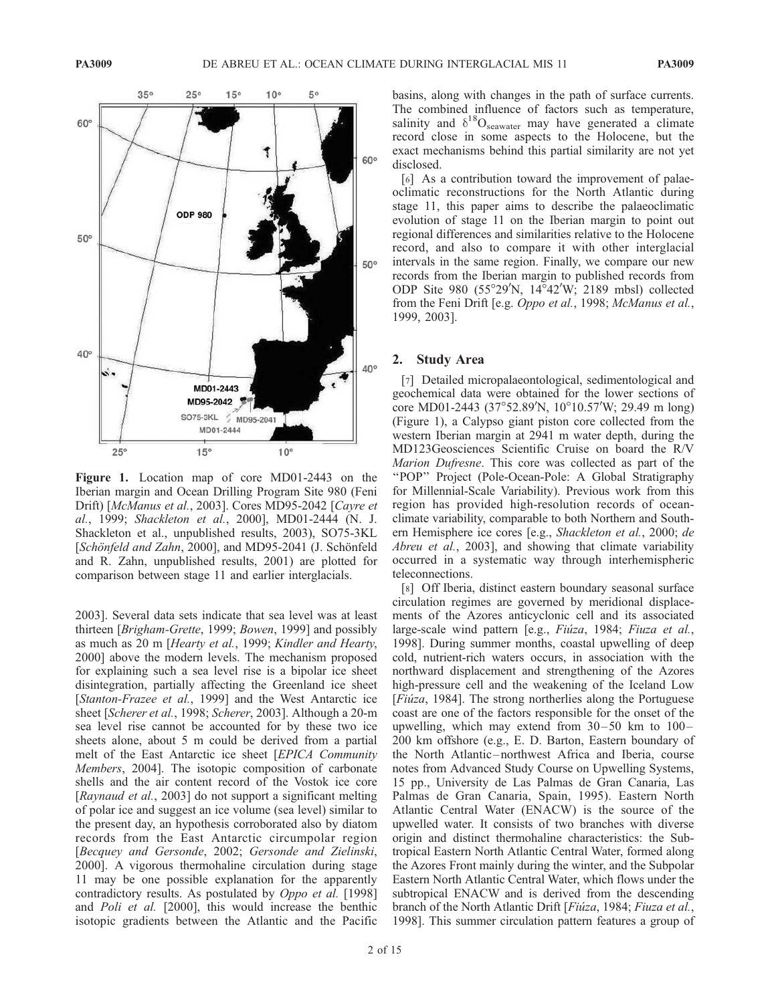

Figure 1. Location map of core MD01-2443 on the Iberian margin and Ocean Drilling Program Site 980 (Feni Drift) [McManus et al., 2003]. Cores MD95-2042 [Cayre et al., 1999; Shackleton et al., 2000], MD01-2444 (N. J. Shackleton et al., unpublished results, 2003), SO75-3KL [Schönfeld and Zahn, 2000], and MD95-2041 (J. Schönfeld and R. Zahn, unpublished results, 2001) are plotted for comparison between stage 11 and earlier interglacials.

2003]. Several data sets indicate that sea level was at least thirteen [Brigham-Grette, 1999; Bowen, 1999] and possibly as much as 20 m [Hearty et al., 1999; Kindler and Hearty, 2000] above the modern levels. The mechanism proposed for explaining such a sea level rise is a bipolar ice sheet disintegration, partially affecting the Greenland ice sheet [Stanton-Frazee et al., 1999] and the West Antarctic ice sheet [Scherer et al., 1998; Scherer, 2003]. Although a 20-m sea level rise cannot be accounted for by these two ice sheets alone, about 5 m could be derived from a partial melt of the East Antarctic ice sheet [EPICA Community Members, 2004]. The isotopic composition of carbonate shells and the air content record of the Vostok ice core [Raynaud et al., 2003] do not support a significant melting of polar ice and suggest an ice volume (sea level) similar to the present day, an hypothesis corroborated also by diatom records from the East Antarctic circumpolar region [Becquey and Gersonde, 2002; Gersonde and Zielinski, 2000]. A vigorous thermohaline circulation during stage 11 may be one possible explanation for the apparently contradictory results. As postulated by Oppo et al. [1998] and Poli et al. [2000], this would increase the benthic isotopic gradients between the Atlantic and the Pacific

basins, along with changes in the path of surface currents. The combined influence of factors such as temperature, salinity and  $\delta^{18}O_{\text{seawater}}$  may have generated a climate record close in some aspects to the Holocene, but the exact mechanisms behind this partial similarity are not yet disclosed.

[6] As a contribution toward the improvement of palaeoclimatic reconstructions for the North Atlantic during stage 11, this paper aims to describe the palaeoclimatic evolution of stage 11 on the Iberian margin to point out regional differences and similarities relative to the Holocene record, and also to compare it with other interglacial intervals in the same region. Finally, we compare our new records from the Iberian margin to published records from ODP Site 980 (55°29'N,  $14^{\circ}42'W$ ; 2189 mbsl) collected from the Feni Drift [e.g. Oppo et al., 1998; McManus et al., 1999, 2003].

# 2. Study Area

[7] Detailed micropalaeontological, sedimentological and geochemical data were obtained for the lower sections of core MD01-2443 (37°52.89'N, 10°10.57'W; 29.49 m long) (Figure 1), a Calypso giant piston core collected from the western Iberian margin at 2941 m water depth, during the MD123Geosciences Scientific Cruise on board the R/V Marion Dufresne. This core was collected as part of the ''POP'' Project (Pole-Ocean-Pole: A Global Stratigraphy for Millennial-Scale Variability). Previous work from this region has provided high-resolution records of oceanclimate variability, comparable to both Northern and Southern Hemisphere ice cores [e.g., Shackleton et al., 2000; de Abreu et al., 2003], and showing that climate variability occurred in a systematic way through interhemispheric teleconnections.

[8] Off Iberia, distinct eastern boundary seasonal surface circulation regimes are governed by meridional displacements of the Azores anticyclonic cell and its associated large-scale wind pattern [e.g., Fiúza, 1984; Fiuza et al., 1998]. During summer months, coastal upwelling of deep cold, nutrient-rich waters occurs, in association with the northward displacement and strengthening of the Azores high-pressure cell and the weakening of the Iceland Low [ $Fiúza$ , 1984]. The strong northerlies along the Portuguese coast are one of the factors responsible for the onset of the upwelling, which may extend from  $30-50$  km to  $100-$ 200 km offshore (e.g., E. D. Barton, Eastern boundary of the North Atlantic – northwest Africa and Iberia, course notes from Advanced Study Course on Upwelling Systems, 15 pp., University de Las Palmas de Gran Canaria, Las Palmas de Gran Canaria, Spain, 1995). Eastern North Atlantic Central Water (ENACW) is the source of the upwelled water. It consists of two branches with diverse origin and distinct thermohaline characteristics: the Subtropical Eastern North Atlantic Central Water, formed along the Azores Front mainly during the winter, and the Subpolar Eastern North Atlantic Central Water, which flows under the subtropical ENACW and is derived from the descending branch of the North Atlantic Drift [Fiúza, 1984; Fiuza et al., 1998]. This summer circulation pattern features a group of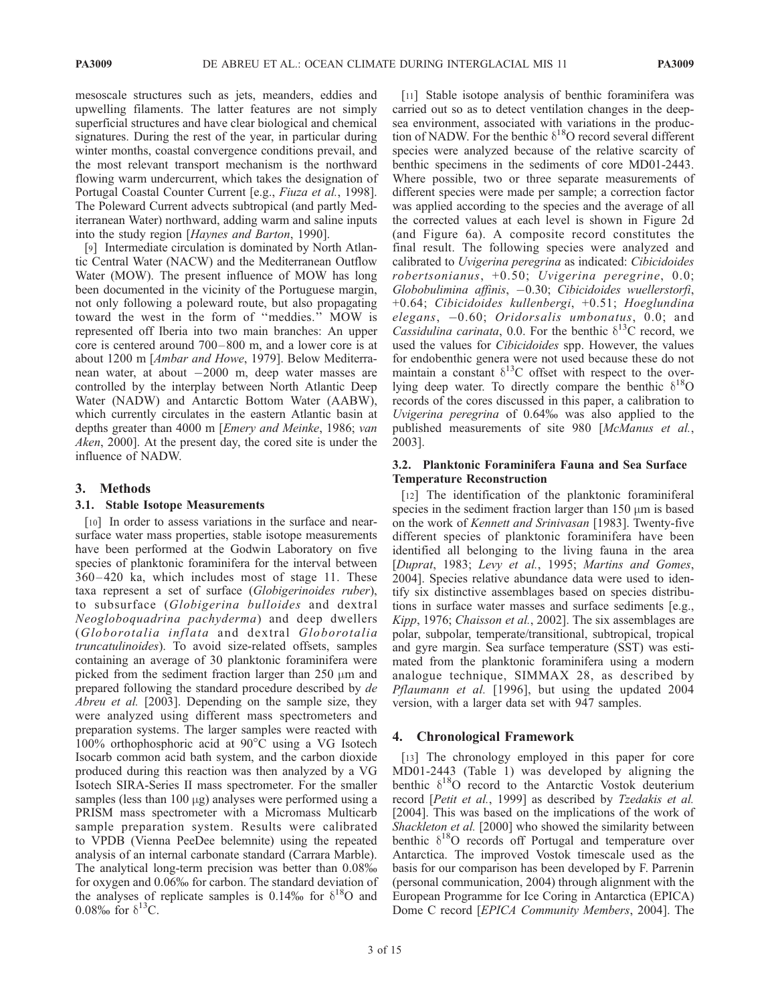mesoscale structures such as jets, meanders, eddies and upwelling filaments. The latter features are not simply superficial structures and have clear biological and chemical signatures. During the rest of the year, in particular during winter months, coastal convergence conditions prevail, and the most relevant transport mechanism is the northward flowing warm undercurrent, which takes the designation of Portugal Coastal Counter Current [e.g., Fiuza et al., 1998]. The Poleward Current advects subtropical (and partly Mediterranean Water) northward, adding warm and saline inputs into the study region [Haynes and Barton, 1990].

[9] Intermediate circulation is dominated by North Atlantic Central Water (NACW) and the Mediterranean Outflow Water (MOW). The present influence of MOW has long been documented in the vicinity of the Portuguese margin, not only following a poleward route, but also propagating toward the west in the form of ''meddies.'' MOW is represented off Iberia into two main branches: An upper core is centered around 700– 800 m, and a lower core is at about 1200 m [Ambar and Howe, 1979]. Below Mediterranean water, at about -2000 m, deep water masses are controlled by the interplay between North Atlantic Deep Water (NADW) and Antarctic Bottom Water (AABW), which currently circulates in the eastern Atlantic basin at depths greater than 4000 m [Emery and Meinke, 1986; van Aken, 2000]. At the present day, the cored site is under the influence of NADW.

# 3. Methods

#### 3.1. Stable Isotope Measurements

[10] In order to assess variations in the surface and nearsurface water mass properties, stable isotope measurements have been performed at the Godwin Laboratory on five species of planktonic foraminifera for the interval between 360 – 420 ka, which includes most of stage 11. These taxa represent a set of surface (Globigerinoides ruber), to subsurface (Globigerina bulloides and dextral Neogloboquadrina pachyderma) and deep dwellers (Globorotalia inflata and dextral Globorotalia truncatulinoides). To avoid size-related offsets, samples containing an average of 30 planktonic foraminifera were picked from the sediment fraction larger than  $250 \mu m$  and prepared following the standard procedure described by de Abreu et al. [2003]. Depending on the sample size, they were analyzed using different mass spectrometers and preparation systems. The larger samples were reacted with 100% orthophosphoric acid at  $90^{\circ}$ C using a VG Isotech Isocarb common acid bath system, and the carbon dioxide produced during this reaction was then analyzed by a VG Isotech SIRA-Series II mass spectrometer. For the smaller samples (less than  $100 \mu$ g) analyses were performed using a PRISM mass spectrometer with a Micromass Multicarb sample preparation system. Results were calibrated to VPDB (Vienna PeeDee belemnite) using the repeated analysis of an internal carbonate standard (Carrara Marble). The analytical long-term precision was better than 0.08% for oxygen and 0.06% for carbon. The standard deviation of the analyses of replicate samples is 0.14% for  $\delta^{18}O$  and 0.08% for  $\delta^{13}$ C.

[11] Stable isotope analysis of benthic foraminifera was carried out so as to detect ventilation changes in the deepsea environment, associated with variations in the production of NADW. For the benthic  $\delta^{18}$ O record several different species were analyzed because of the relative scarcity of benthic specimens in the sediments of core MD01-2443. Where possible, two or three separate measurements of different species were made per sample; a correction factor was applied according to the species and the average of all the corrected values at each level is shown in Figure 2d (and Figure 6a). A composite record constitutes the final result. The following species were analyzed and calibrated to Uvigerina peregrina as indicated: Cibicidoides robertsonianus, +0.50; Uvigerina peregrine, 0.0; Globobulimina affinis, -0.30; Cibicidoides wuellerstorfi, +0.64; Cibicidoides kullenbergi, +0.51; Hoeglundina elegans, -0.60; Oridorsalis umbonatus, 0.0; and Cassidulina carinata, 0.0. For the benthic  $\delta^{13}$ C record, we used the values for Cibicidoides spp. However, the values for endobenthic genera were not used because these do not maintain a constant  $\delta^{13}$ C offset with respect to the overlying deep water. To directly compare the benthic  $\delta^{18}O$ records of the cores discussed in this paper, a calibration to Uvigerina peregrina of 0.64% was also applied to the published measurements of site 980 [McManus et al., 2003].

#### 3.2. Planktonic Foraminifera Fauna and Sea Surface Temperature Reconstruction

[12] The identification of the planktonic foraminiferal species in the sediment fraction larger than  $150 \mu m$  is based on the work of Kennett and Srinivasan [1983]. Twenty-five different species of planktonic foraminifera have been identified all belonging to the living fauna in the area [Duprat, 1983; Levy et al., 1995; Martins and Gomes, 2004]. Species relative abundance data were used to identify six distinctive assemblages based on species distributions in surface water masses and surface sediments [e.g., Kipp, 1976; Chaisson et al., 2002]. The six assemblages are polar, subpolar, temperate/transitional, subtropical, tropical and gyre margin. Sea surface temperature (SST) was estimated from the planktonic foraminifera using a modern analogue technique, SIMMAX 28, as described by Pflaumann et al. [1996], but using the updated 2004 version, with a larger data set with 947 samples.

# 4. Chronological Framework

[13] The chronology employed in this paper for core MD01-2443 (Table 1) was developed by aligning the benthic  $\delta^{18}O$  record to the Antarctic Vostok deuterium record [Petit et al., 1999] as described by Tzedakis et al. [2004]. This was based on the implications of the work of Shackleton et al. [2000] who showed the similarity between benthic  $\delta^{18}O$  records off Portugal and temperature over Antarctica. The improved Vostok timescale used as the basis for our comparison has been developed by F. Parrenin (personal communication, 2004) through alignment with the European Programme for Ice Coring in Antarctica (EPICA) Dome C record [EPICA Community Members, 2004]. The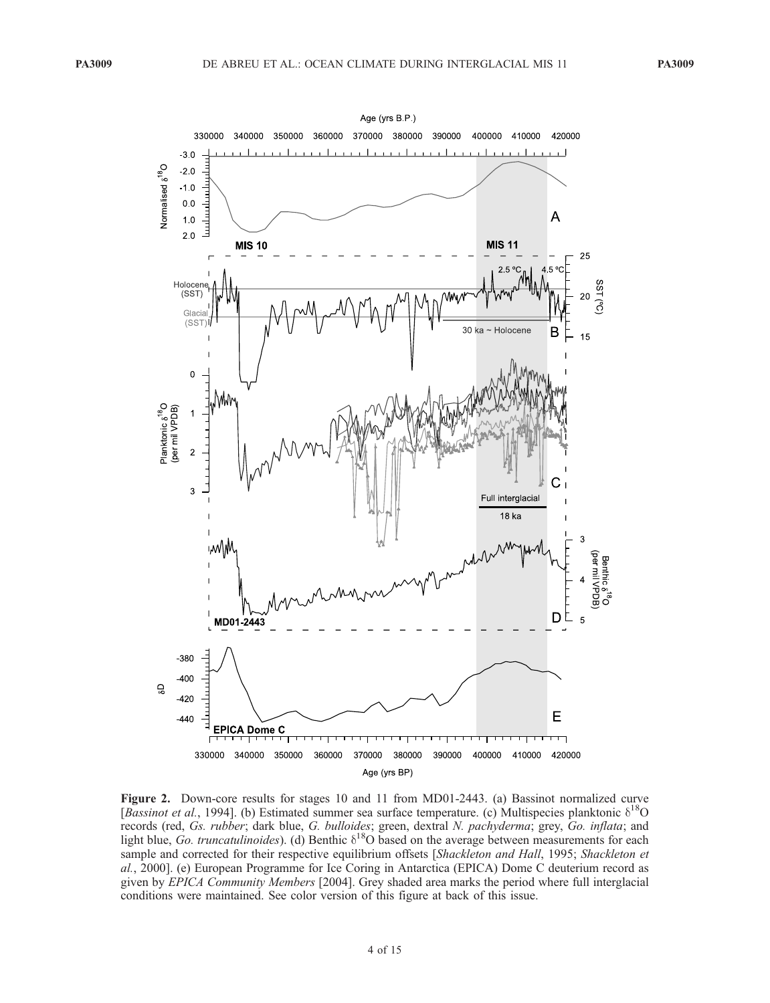

Figure 2. Down-core results for stages 10 and 11 from MD01-2443. (a) Bassinot normalized curve [Bassinot et al., 1994]. (b) Estimated summer sea surface temperature. (c) Multispecies planktonic  $\delta^{18}O$ records (red, Gs. rubber; dark blue, G. bulloides; green, dextral N. pachyderma; grey, Go. inflata; and light blue, Go. truncatulinoides). (d) Benthic  $\delta^{18}O$  based on the average between measurements for each sample and corrected for their respective equilibrium offsets [Shackleton and Hall, 1995; Shackleton et al., 2000]. (e) European Programme for Ice Coring in Antarctica (EPICA) Dome C deuterium record as given by EPICA Community Members [2004]. Grey shaded area marks the period where full interglacial conditions were maintained. See color version of this figure at back of this issue.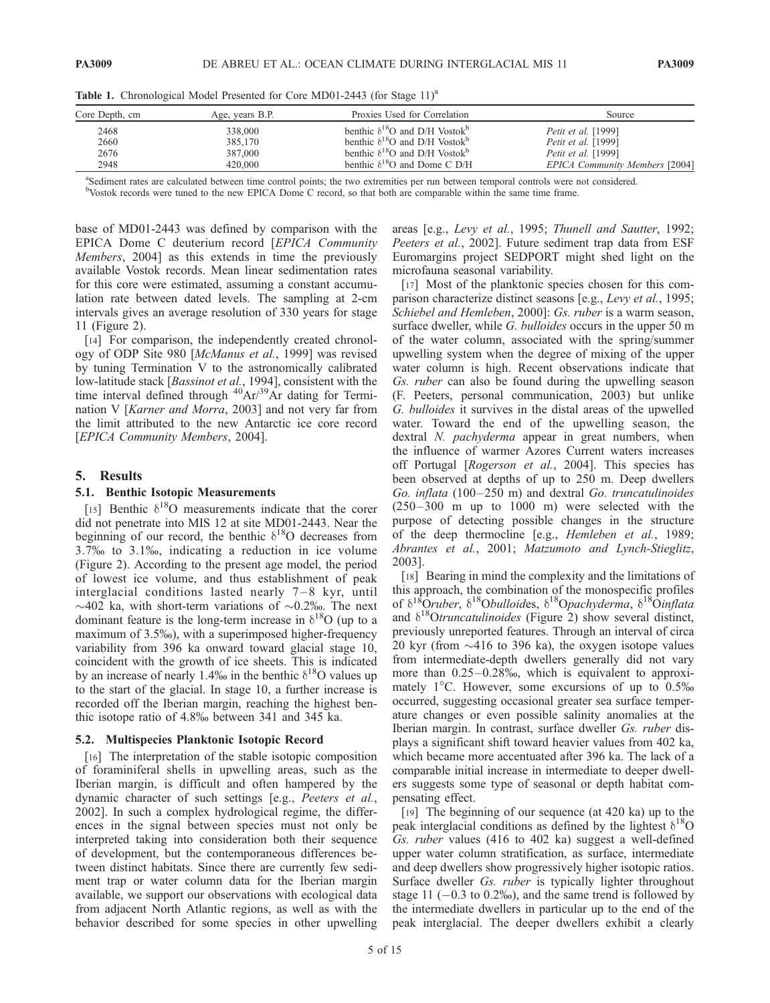Core Depth, cm Age, years B.P. Proxies Used for Correlation Source 2468 338,000 benthic  $\delta^{18}$ O and D/H Vostok<sup>b</sup> *Petit et al.* [1999] 2660 385,170 benthic  $\delta^{18}$ O and D/H Vostok<sup>b</sup> *Petit et al.* [1999] 2676 2676 387,000 benthic  $\delta^{18}$ O and D/H Vostok<sup>b</sup> *Petit et al.* [1999]  $2948$   $420,000$  benthic  $\delta^{18}$ O and Dome C D/H EPICA Community Members [2004]

Table 1. Chronological Model Presented for Core MD01-2443 (for Stage 11)<sup>a</sup>

a Sediment rates are calculated between time control points; the two extremities per run between temporal controls were not considered.

b Vostok records were tuned to the new EPICA Dome C record, so that both are comparable within the same time frame.

base of MD01-2443 was defined by comparison with the EPICA Dome C deuterium record [EPICA Community Members, 2004] as this extends in time the previously available Vostok records. Mean linear sedimentation rates for this core were estimated, assuming a constant accumulation rate between dated levels. The sampling at 2-cm intervals gives an average resolution of 330 years for stage 11 (Figure 2).

[14] For comparison, the independently created chronology of ODP Site 980 [McManus et al., 1999] was revised by tuning Termination V to the astronomically calibrated low-latitude stack [*Bassinot et al.*, 1994], consistent with the time interval defined through  ${}^{40}Ar/{}^{39}Ar$  dating for Termination V [Karner and Morra, 2003] and not very far from the limit attributed to the new Antarctic ice core record [EPICA Community Members, 2004].

#### 5. Results

#### 5.1. Benthic Isotopic Measurements

[15] Benthic  $\delta^{18}$ O measurements indicate that the corer did not penetrate into MIS 12 at site MD01-2443. Near the beginning of our record, the benthic  $\delta^{18}O$  decreases from 3.7% to 3.1%, indicating a reduction in ice volume (Figure 2). According to the present age model, the period of lowest ice volume, and thus establishment of peak interglacial conditions lasted nearly  $7-8$  kyr, until  $\sim$ 402 ka, with short-term variations of  $\sim$ 0.2%. The next dominant feature is the long-term increase in  $\delta^{18}O$  (up to a maximum of 3.5%), with a superimposed higher-frequency variability from 396 ka onward toward glacial stage 10, coincident with the growth of ice sheets. This is indicated by an increase of nearly 1.4‰ in the benthic  $\delta^{18}$ O values up to the start of the glacial. In stage 10, a further increase is recorded off the Iberian margin, reaching the highest benthic isotope ratio of 4.8% between 341 and 345 ka.

#### 5.2. Multispecies Planktonic Isotopic Record

[16] The interpretation of the stable isotopic composition of foraminiferal shells in upwelling areas, such as the Iberian margin, is difficult and often hampered by the dynamic character of such settings [e.g., Peeters et al., 2002]. In such a complex hydrological regime, the differences in the signal between species must not only be interpreted taking into consideration both their sequence of development, but the contemporaneous differences between distinct habitats. Since there are currently few sediment trap or water column data for the Iberian margin available, we support our observations with ecological data from adjacent North Atlantic regions, as well as with the behavior described for some species in other upwelling

areas [e.g., Levy et al., 1995; Thunell and Sautter, 1992; Peeters et al., 2002]. Future sediment trap data from ESF Euromargins project SEDPORT might shed light on the microfauna seasonal variability.

[17] Most of the planktonic species chosen for this comparison characterize distinct seasons [e.g., Levy et al., 1995; Schiebel and Hemleben, 2000]: Gs. ruber is a warm season, surface dweller, while *G. bulloides* occurs in the upper 50 m of the water column, associated with the spring/summer upwelling system when the degree of mixing of the upper water column is high. Recent observations indicate that Gs. ruber can also be found during the upwelling season (F. Peeters, personal communication, 2003) but unlike G. bulloides it survives in the distal areas of the upwelled water. Toward the end of the upwelling season, the dextral N. *pachyderma* appear in great numbers, when the influence of warmer Azores Current waters increases off Portugal [Rogerson et al., 2004]. This species has been observed at depths of up to 250 m. Deep dwellers Go. inflata (100-250 m) and dextral Go. truncatulinoides  $(250-300 \text{ m} \text{ up to } 1000 \text{ m})$  were selected with the purpose of detecting possible changes in the structure of the deep thermocline [e.g., Hemleben et al., 1989; Abrantes et al., 2001; Matzumoto and Lynch-Stieglitz, 2003].

[18] Bearing in mind the complexity and the limitations of this approach, the combination of the monospecific profiles of  $\delta^{18}$ Oruber,  $\delta^{18}$ Obulloides,  $\delta^{18}$ Opachyderma,  $\delta^{18}$ Oinflata and  $\delta^{18}$ Otruncatulinoides (Figure 2) show several distinct, previously unreported features. Through an interval of circa 20 kyr (from  $\sim$ 416 to 396 ka), the oxygen isotope values from intermediate-depth dwellers generally did not vary more than  $0.25-0.28\%$ , which is equivalent to approximately  $1^{\circ}$ C. However, some excursions of up to 0.5% occurred, suggesting occasional greater sea surface temperature changes or even possible salinity anomalies at the Iberian margin. In contrast, surface dweller Gs. ruber displays a significant shift toward heavier values from 402 ka, which became more accentuated after 396 ka. The lack of a comparable initial increase in intermediate to deeper dwellers suggests some type of seasonal or depth habitat compensating effect.

[19] The beginning of our sequence (at 420 ka) up to the peak interglacial conditions as defined by the lightest  $\delta^{18}O$ Gs. ruber values (416 to 402 ka) suggest a well-defined upper water column stratification, as surface, intermediate and deep dwellers show progressively higher isotopic ratios. Surface dweller *Gs. ruber* is typically lighter throughout stage 11  $(-0.3 \text{ to } 0.2\%)$ , and the same trend is followed by the intermediate dwellers in particular up to the end of the peak interglacial. The deeper dwellers exhibit a clearly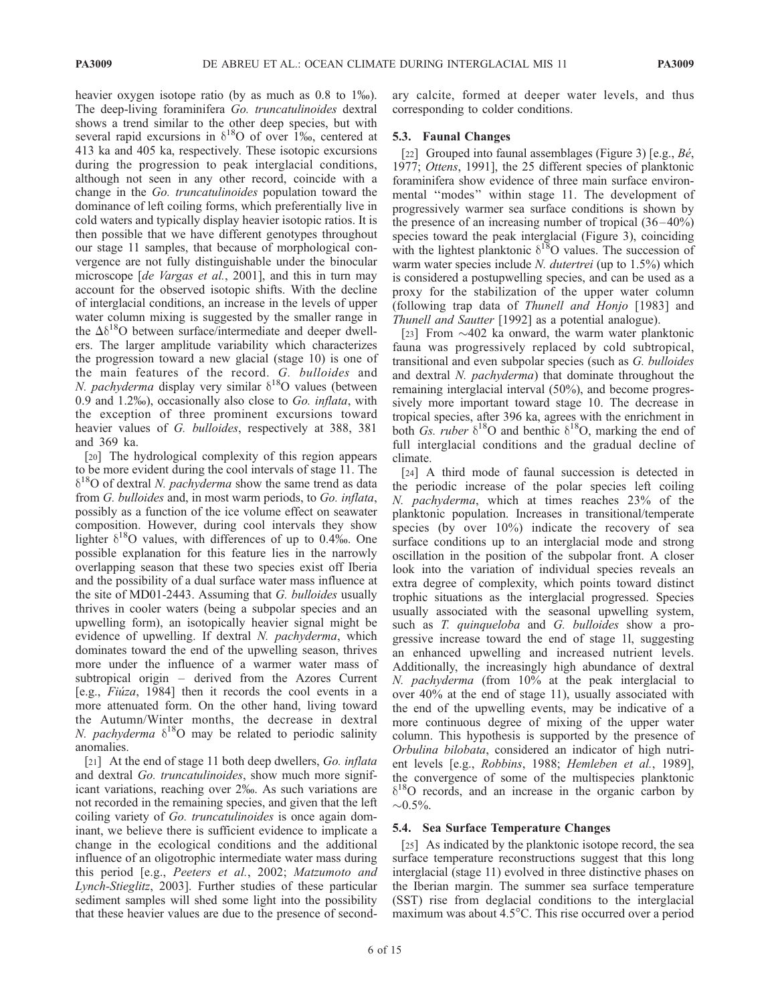heavier oxygen isotope ratio (by as much as 0.8 to 1\%). The deep-living foraminifera Go. truncatulinoides dextral shows a trend similar to the other deep species, but with several rapid excursions in  $\delta^{18}O$  of over 1‰, centered at 413 ka and 405 ka, respectively. These isotopic excursions during the progression to peak interglacial conditions, although not seen in any other record, coincide with a change in the Go. truncatulinoides population toward the dominance of left coiling forms, which preferentially live in cold waters and typically display heavier isotopic ratios. It is then possible that we have different genotypes throughout our stage 11 samples, that because of morphological convergence are not fully distinguishable under the binocular microscope [de Vargas et al., 2001], and this in turn may account for the observed isotopic shifts. With the decline of interglacial conditions, an increase in the levels of upper water column mixing is suggested by the smaller range in the  $\Delta\delta^{18}$ O between surface/intermediate and deeper dwellers. The larger amplitude variability which characterizes the progression toward a new glacial (stage 10) is one of the main features of the record. G. bulloides and N. pachyderma display very similar  $\delta^{18}$ O values (between 0.9 and 1.2%), occasionally also close to Go. inflata, with the exception of three prominent excursions toward heavier values of G. bulloides, respectively at 388, 381 and 369 ka.

[20] The hydrological complexity of this region appears to be more evident during the cool intervals of stage 11. The  $\delta^{18}$ O of dextral *N. pachyderma* show the same trend as data from G. bulloides and, in most warm periods, to Go. inflata, possibly as a function of the ice volume effect on seawater composition. However, during cool intervals they show lighter  $\delta^{18}$ O values, with differences of up to 0.4%. One possible explanation for this feature lies in the narrowly overlapping season that these two species exist off Iberia and the possibility of a dual surface water mass influence at the site of MD01-2443. Assuming that G. bulloides usually thrives in cooler waters (being a subpolar species and an upwelling form), an isotopically heavier signal might be evidence of upwelling. If dextral N. pachyderma, which dominates toward the end of the upwelling season, thrives more under the influence of a warmer water mass of subtropical origin – derived from the Azores Current [e.g., *Fiuza*, 1984] then it records the cool events in a more attenuated form. On the other hand, living toward the Autumn/Winter months, the decrease in dextral N. pachyderma  $\delta^{18}$ O may be related to periodic salinity anomalies.

[21] At the end of stage 11 both deep dwellers, Go. *inflata* and dextral Go. truncatulinoides, show much more significant variations, reaching over 2\%. As such variations are not recorded in the remaining species, and given that the left coiling variety of Go. truncatulinoides is once again dominant, we believe there is sufficient evidence to implicate a change in the ecological conditions and the additional influence of an oligotrophic intermediate water mass during this period [e.g., Peeters et al., 2002; Matzumoto and Lynch-Stieglitz, 2003]. Further studies of these particular sediment samples will shed some light into the possibility that these heavier values are due to the presence of secondary calcite, formed at deeper water levels, and thus corresponding to colder conditions.

## 5.3. Faunal Changes

[22] Grouped into faunal assemblages (Figure 3) [e.g.,  $B\acute{e}$ , 1977; Ottens, 1991], the 25 different species of planktonic foraminifera show evidence of three main surface environmental ''modes'' within stage 11. The development of progressively warmer sea surface conditions is shown by the presence of an increasing number of tropical  $(36-40\%)$ species toward the peak interglacial (Figure 3), coinciding with the lightest planktonic  $\delta^{18}$ O values. The succession of warm water species include N. dutertrei (up to 1.5%) which is considered a postupwelling species, and can be used as a proxy for the stabilization of the upper water column (following trap data of Thunell and Honjo [1983] and Thunell and Sautter [1992] as a potential analogue).

[23] From  $\sim$ 402 ka onward, the warm water planktonic fauna was progressively replaced by cold subtropical, transitional and even subpolar species (such as G. bulloides and dextral N. pachyderma) that dominate throughout the remaining interglacial interval (50%), and become progressively more important toward stage 10. The decrease in tropical species, after 396 ka, agrees with the enrichment in both *Gs. ruber*  $\delta^{18}O$  and benthic  $\delta^{18}O$ , marking the end of full interglacial conditions and the gradual decline of climate.

[24] A third mode of faunal succession is detected in the periodic increase of the polar species left coiling N. pachyderma, which at times reaches 23% of the planktonic population. Increases in transitional/temperate species (by over 10%) indicate the recovery of sea surface conditions up to an interglacial mode and strong oscillation in the position of the subpolar front. A closer look into the variation of individual species reveals an extra degree of complexity, which points toward distinct trophic situations as the interglacial progressed. Species usually associated with the seasonal upwelling system, such as T. quinqueloba and G. bulloides show a progressive increase toward the end of stage 1l, suggesting an enhanced upwelling and increased nutrient levels. Additionally, the increasingly high abundance of dextral N. pachyderma (from 10% at the peak interglacial to over 40% at the end of stage 11), usually associated with the end of the upwelling events, may be indicative of a more continuous degree of mixing of the upper water column. This hypothesis is supported by the presence of Orbulina bilobata, considered an indicator of high nutrient levels [e.g., Robbins, 1988; Hemleben et al., 1989], the convergence of some of the multispecies planktonic  $\delta^{18}$ O records, and an increase in the organic carbon by  $\sim 0.5\%$ .

#### 5.4. Sea Surface Temperature Changes

[25] As indicated by the planktonic isotope record, the sea surface temperature reconstructions suggest that this long interglacial (stage 11) evolved in three distinctive phases on the Iberian margin. The summer sea surface temperature (SST) rise from deglacial conditions to the interglacial maximum was about 4.5°C. This rise occurred over a period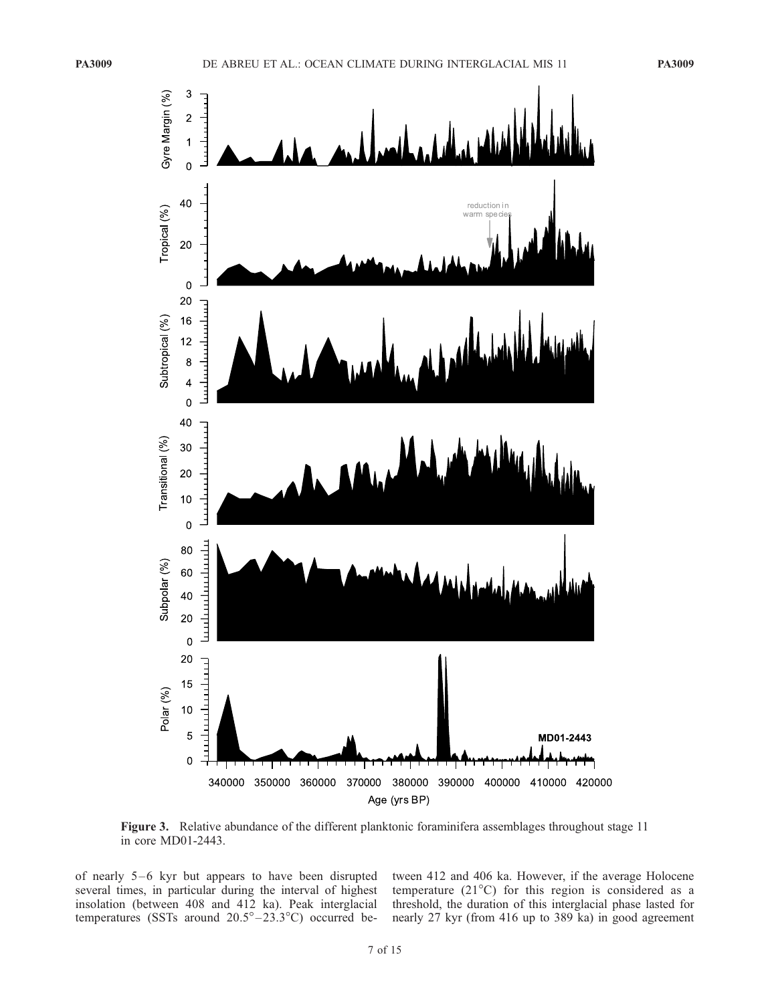

Figure 3. Relative abundance of the different planktonic foraminifera assemblages throughout stage 11 in core MD01-2443.

of nearly  $5-6$  kyr but appears to have been disrupted several times, in particular during the interval of highest insolation (between 408 and 412 ka). Peak interglacial temperatures (SSTs around  $20.5^{\circ} - 23.3^{\circ}$ C) occurred between 412 and 406 ka. However, if the average Holocene temperature  $(21^{\circ}C)$  for this region is considered as a threshold, the duration of this interglacial phase lasted for nearly 27 kyr (from 416 up to 389 ka) in good agreement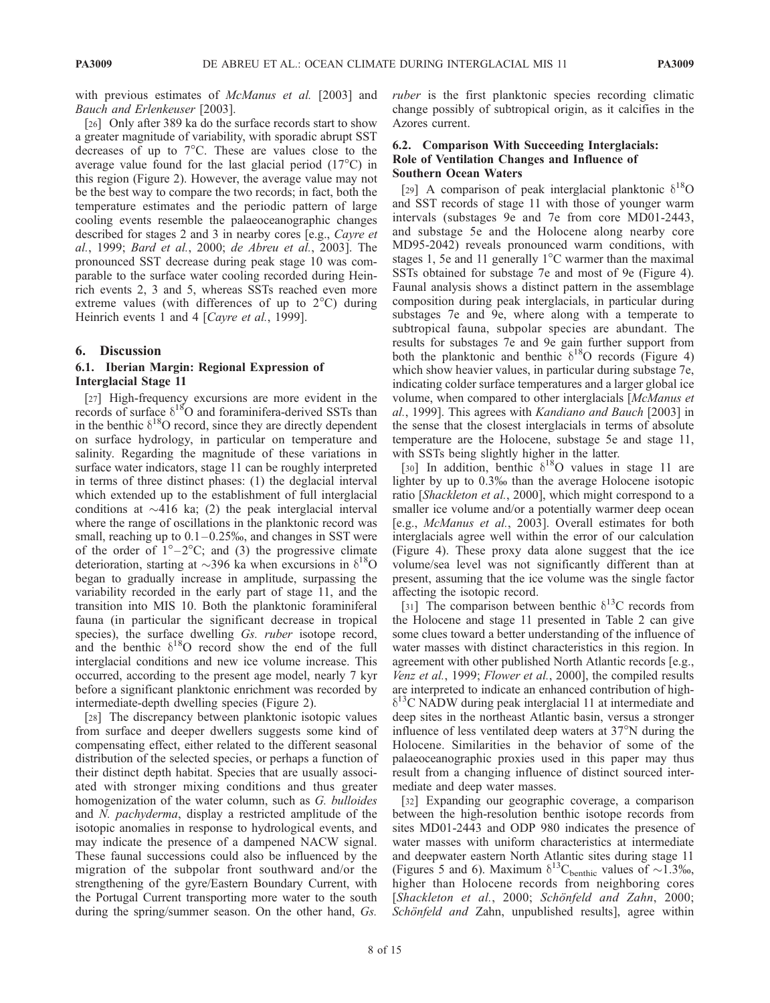with previous estimates of *McManus et al.* [2003] and Bauch and Erlenkeuser [2003].

[26] Only after 389 ka do the surface records start to show a greater magnitude of variability, with sporadic abrupt SST decreases of up to  $7^{\circ}$ C. These are values close to the average value found for the last glacial period  $(17^{\circ}C)$  in this region (Figure 2). However, the average value may not be the best way to compare the two records; in fact, both the temperature estimates and the periodic pattern of large cooling events resemble the palaeoceanographic changes described for stages 2 and 3 in nearby cores [e.g., Cayre et al., 1999; Bard et al., 2000; de Abreu et al., 2003]. The pronounced SST decrease during peak stage 10 was comparable to the surface water cooling recorded during Heinrich events 2, 3 and 5, whereas SSTs reached even more extreme values (with differences of up to  $2^{\circ}$ C) during Heinrich events 1 and 4 [Cayre et al., 1999].

## 6. Discussion

## 6.1. Iberian Margin: Regional Expression of Interglacial Stage 11

[27] High-frequency excursions are more evident in the records of surface  $\delta^{18}O$  and foraminifera-derived SSTs than in the benthic  $\delta^{18}$ O record, since they are directly dependent on surface hydrology, in particular on temperature and salinity. Regarding the magnitude of these variations in surface water indicators, stage 11 can be roughly interpreted in terms of three distinct phases: (1) the deglacial interval which extended up to the establishment of full interglacial conditions at  $\sim$ 416 ka; (2) the peak interglacial interval where the range of oscillations in the planktonic record was small, reaching up to  $0.1 - 0.25\%$ , and changes in SST were of the order of  $1^{\circ}-2^{\circ}$ C; and (3) the progressive climate deterioration, starting at  $\sim$ 396 ka when excursions in  $\delta^{18}$ O began to gradually increase in amplitude, surpassing the variability recorded in the early part of stage 11, and the transition into MIS 10. Both the planktonic foraminiferal fauna (in particular the significant decrease in tropical species), the surface dwelling Gs. ruber isotope record, and the benthic  $\delta^{18}O$  record show the end of the full interglacial conditions and new ice volume increase. This occurred, according to the present age model, nearly 7 kyr before a significant planktonic enrichment was recorded by intermediate-depth dwelling species (Figure 2).

[28] The discrepancy between planktonic isotopic values from surface and deeper dwellers suggests some kind of compensating effect, either related to the different seasonal distribution of the selected species, or perhaps a function of their distinct depth habitat. Species that are usually associated with stronger mixing conditions and thus greater homogenization of the water column, such as G. bulloides and N. pachyderma, display a restricted amplitude of the isotopic anomalies in response to hydrological events, and may indicate the presence of a dampened NACW signal. These faunal successions could also be influenced by the migration of the subpolar front southward and/or the strengthening of the gyre/Eastern Boundary Current, with the Portugal Current transporting more water to the south during the spring/summer season. On the other hand, Gs.

ruber is the first planktonic species recording climatic change possibly of subtropical origin, as it calcifies in the Azores current.

## 6.2. Comparison With Succeeding Interglacials: Role of Ventilation Changes and Influence of Southern Ocean Waters

[29] A comparison of peak interglacial planktonic  $\delta^{18}O$ and SST records of stage 11 with those of younger warm intervals (substages 9e and 7e from core MD01-2443, and substage 5e and the Holocene along nearby core MD95-2042) reveals pronounced warm conditions, with stages 1, 5e and 11 generally  $1^{\circ}$ C warmer than the maximal SSTs obtained for substage 7e and most of 9e (Figure 4). Faunal analysis shows a distinct pattern in the assemblage composition during peak interglacials, in particular during substages 7e and 9e, where along with a temperate to subtropical fauna, subpolar species are abundant. The results for substages 7e and 9e gain further support from both the planktonic and benthic  $\delta^{18}$ O records (Figure 4) which show heavier values, in particular during substage 7e, indicating colder surface temperatures and a larger global ice volume, when compared to other interglacials [McManus et al., 1999]. This agrees with Kandiano and Bauch [2003] in the sense that the closest interglacials in terms of absolute temperature are the Holocene, substage 5e and stage 11, with SSTs being slightly higher in the latter.

[30] In addition, benthic  $\delta^{18}$ O values in stage 11 are lighter by up to 0.3% than the average Holocene isotopic ratio [Shackleton et al., 2000], which might correspond to a smaller ice volume and/or a potentially warmer deep ocean [e.g., McManus et al., 2003]. Overall estimates for both interglacials agree well within the error of our calculation (Figure 4). These proxy data alone suggest that the ice volume/sea level was not significantly different than at present, assuming that the ice volume was the single factor affecting the isotopic record.

[31] The comparison between benthic  $\delta^{13}$ C records from the Holocene and stage 11 presented in Table 2 can give some clues toward a better understanding of the influence of water masses with distinct characteristics in this region. In agreement with other published North Atlantic records [e.g., Venz et al., 1999; Flower et al., 2000], the compiled results are interpreted to indicate an enhanced contribution of high- $\delta^{13}$ C NADW during peak interglacial 11 at intermediate and deep sites in the northeast Atlantic basin, versus a stronger influence of less ventilated deep waters at  $37^{\circ}$ N during the Holocene. Similarities in the behavior of some of the palaeoceanographic proxies used in this paper may thus result from a changing influence of distinct sourced intermediate and deep water masses.

[32] Expanding our geographic coverage, a comparison between the high-resolution benthic isotope records from sites MD01-2443 and ODP 980 indicates the presence of water masses with uniform characteristics at intermediate and deepwater eastern North Atlantic sites during stage 11 (Figures 5 and 6). Maximum  $\delta^{13}C_{\text{benthic}}$  values of  $\sim 1.3\%$ , higher than Holocene records from neighboring cores [Shackleton et al., 2000; Schönfeld and Zahn, 2000; Schönfeld and Zahn, unpublished results], agree within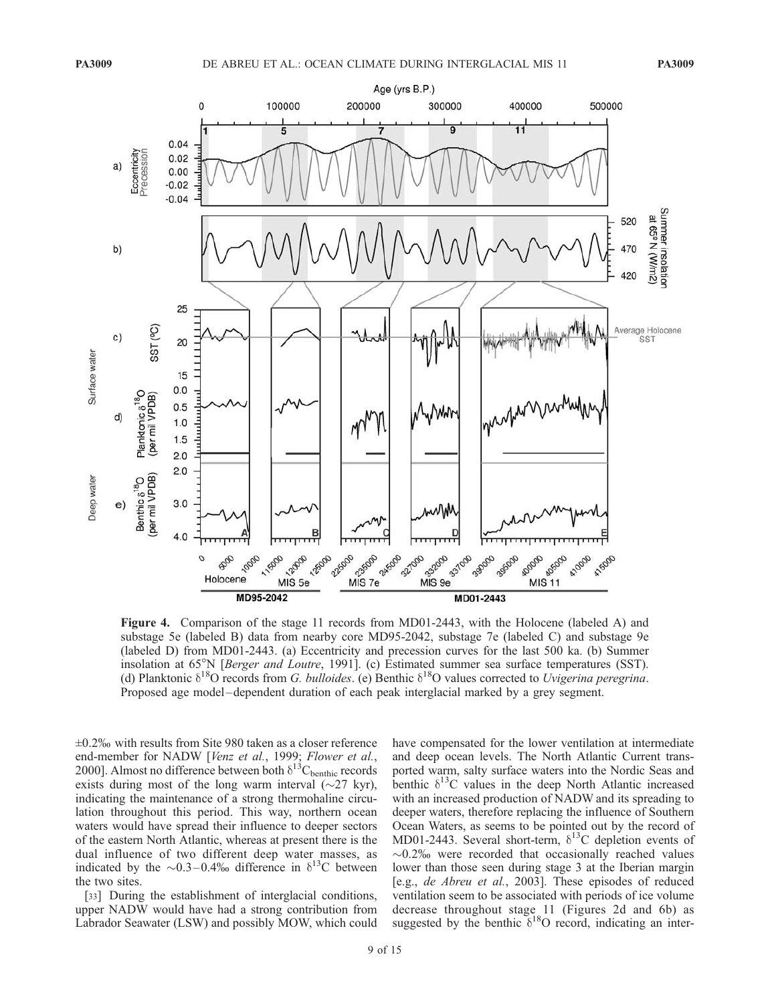

Figure 4. Comparison of the stage 11 records from MD01-2443, with the Holocene (labeled A) and substage 5e (labeled B) data from nearby core MD95-2042, substage 7e (labeled C) and substage 9e (labeled D) from MD01-2443. (a) Eccentricity and precession curves for the last 500 ka. (b) Summer insolation at 65°N [Berger and Loutre, 1991]. (c) Estimated summer sea surface temperatures (SST). (d) Planktonic  $\delta^{18}O$  records from G. bulloides. (e) Benthic  $\delta^{18}O$  values corrected to Uvigerina peregrina. Proposed age model –dependent duration of each peak interglacial marked by a grey segment.

 $\pm 0.2\%$  with results from Site 980 taken as a closer reference end-member for NADW [Venz et al., 1999; Flower et al., 2000]. Almost no difference between both  $\delta^{13}C_{\text{benthic}}$  records exists during most of the long warm interval  $(\sim 27 \text{ kyr})$ , indicating the maintenance of a strong thermohaline circulation throughout this period. This way, northern ocean waters would have spread their influence to deeper sectors of the eastern North Atlantic, whereas at present there is the dual influence of two different deep water masses, as indicated by the  $\sim 0.3 - 0.4\%$  difference in  $\delta^{13}$ C between the two sites.

[33] During the establishment of interglacial conditions, upper NADW would have had a strong contribution from Labrador Seawater (LSW) and possibly MOW, which could have compensated for the lower ventilation at intermediate and deep ocean levels. The North Atlantic Current transported warm, salty surface waters into the Nordic Seas and benthic  $\delta^{13}$ C values in the deep North Atlantic increased with an increased production of NADW and its spreading to deeper waters, therefore replacing the influence of Southern Ocean Waters, as seems to be pointed out by the record of MD01-2443. Several short-term,  $\delta^{13}$ C depletion events of  $\sim$ 0.2% were recorded that occasionally reached values lower than those seen during stage 3 at the Iberian margin [e.g., de Abreu et al., 2003]. These episodes of reduced ventilation seem to be associated with periods of ice volume decrease throughout stage 11 (Figures 2d and 6b) as suggested by the benthic  $\delta^{18}O$  record, indicating an inter-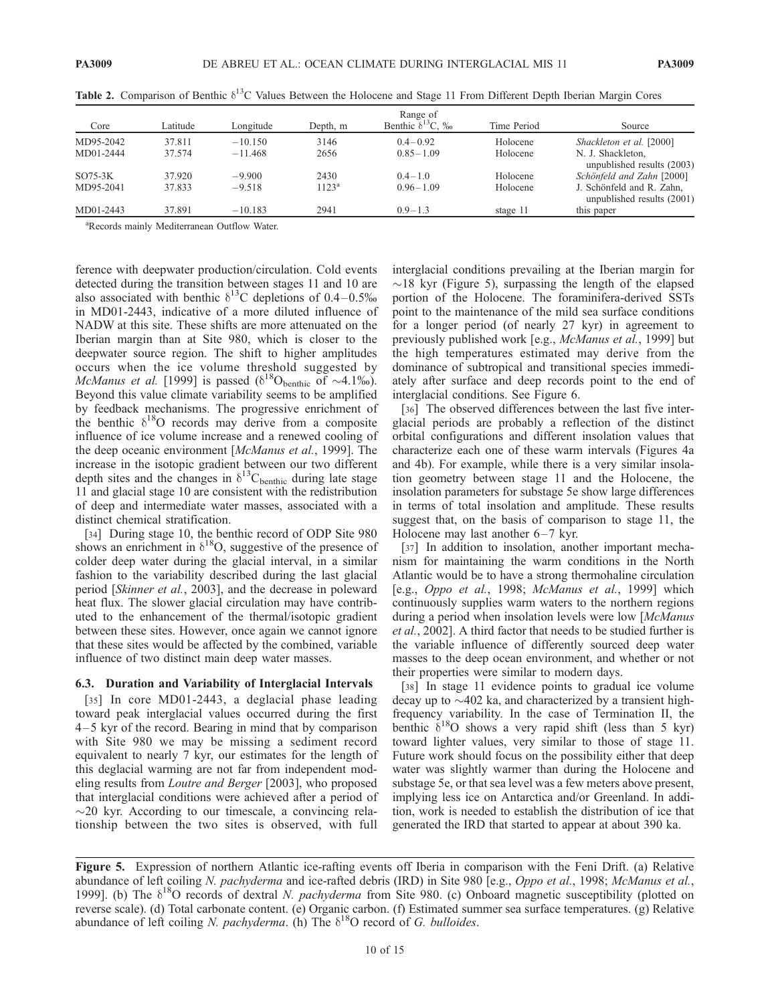| Core      | Range of |           |                |                            |             |                                                         |
|-----------|----------|-----------|----------------|----------------------------|-------------|---------------------------------------------------------|
|           | Latitude | Longitude | Depth, m       | Benthic $\delta^{13}$ C, ‰ | Time Period | Source                                                  |
| MD95-2042 | 37.811   | $-10.150$ | 3146           | $0.4 - 0.92$               | Holocene    | Shackleton et al. [2000]                                |
| MD01-2444 | 37.574   | $-11.468$ | 2656           | $0.85 - 1.09$              | Holocene    | N. J. Shackleton,<br>unpublished results (2003)         |
| $SO75-3K$ | 37.920   | $-9.900$  | 2430           | $0.4 - 1.0$                | Holocene    | Schönfeld and Zahn [2000]                               |
| MD95-2041 | 37.833   | $-9.518$  | $1123^{\rm a}$ | $0.96 - 1.09$              | Holocene    | J. Schönfeld and R. Zahn,<br>unpublished results (2001) |
| MD01-2443 | 37.891   | $-10.183$ | 2941           | $0.9 - 1.3$                | stage 11    | this paper                                              |

Table 2. Comparison of Benthic  $\delta^{13}$ C Values Between the Holocene and Stage 11 From Different Depth Iberian Margin Cores

a Records mainly Mediterranean Outflow Water.

ference with deepwater production/circulation. Cold events detected during the transition between stages 11 and 10 are also associated with benthic  $\delta^{13}$ C depletions of 0.4–0.5‰ in MD01-2443, indicative of a more diluted influence of NADW at this site. These shifts are more attenuated on the Iberian margin than at Site 980, which is closer to the deepwater source region. The shift to higher amplitudes occurs when the ice volume threshold suggested by McManus et al. [1999] is passed  $(\delta^{18}O_{\text{benthic}} \ \text{of} \ \sim 4.1\%)$ . Beyond this value climate variability seems to be amplified by feedback mechanisms. The progressive enrichment of the benthic  $\delta^{18}O$  records may derive from a composite influence of ice volume increase and a renewed cooling of the deep oceanic environment [McManus et al., 1999]. The increase in the isotopic gradient between our two different depth sites and the changes in  $\delta^{13}$ C<sub>benthic</sub> during late stage 11 and glacial stage 10 are consistent with the redistribution of deep and intermediate water masses, associated with a distinct chemical stratification.

[34] During stage 10, the benthic record of ODP Site 980 shows an enrichment in  $\delta^{18}O$ , suggestive of the presence of colder deep water during the glacial interval, in a similar fashion to the variability described during the last glacial period [Skinner et al., 2003], and the decrease in poleward heat flux. The slower glacial circulation may have contributed to the enhancement of the thermal/isotopic gradient between these sites. However, once again we cannot ignore that these sites would be affected by the combined, variable influence of two distinct main deep water masses.

#### 6.3. Duration and Variability of Interglacial Intervals

[35] In core MD01-2443, a deglacial phase leading toward peak interglacial values occurred during the first 4 – 5 kyr of the record. Bearing in mind that by comparison with Site 980 we may be missing a sediment record equivalent to nearly 7 kyr, our estimates for the length of this deglacial warming are not far from independent modeling results from Loutre and Berger [2003], who proposed that interglacial conditions were achieved after a period of  $\sim$ 20 kyr. According to our timescale, a convincing relationship between the two sites is observed, with full

interglacial conditions prevailing at the Iberian margin for  $\sim$ 18 kyr (Figure 5), surpassing the length of the elapsed portion of the Holocene. The foraminifera-derived SSTs point to the maintenance of the mild sea surface conditions for a longer period (of nearly 27 kyr) in agreement to previously published work [e.g., McManus et al., 1999] but the high temperatures estimated may derive from the dominance of subtropical and transitional species immediately after surface and deep records point to the end of interglacial conditions. See Figure 6.

[36] The observed differences between the last five interglacial periods are probably a reflection of the distinct orbital configurations and different insolation values that characterize each one of these warm intervals (Figures 4a and 4b). For example, while there is a very similar insolation geometry between stage 11 and the Holocene, the insolation parameters for substage 5e show large differences in terms of total insolation and amplitude. These results suggest that, on the basis of comparison to stage 11, the Holocene may last another  $6-7$  kyr.

[37] In addition to insolation, another important mechanism for maintaining the warm conditions in the North Atlantic would be to have a strong thermohaline circulation [e.g., Oppo et al., 1998; McManus et al., 1999] which continuously supplies warm waters to the northern regions during a period when insolation levels were low [McManus et al., 2002]. A third factor that needs to be studied further is the variable influence of differently sourced deep water masses to the deep ocean environment, and whether or not their properties were similar to modern days.

[38] In stage 11 evidence points to gradual ice volume decay up to  $\sim$ 402 ka, and characterized by a transient highfrequency variability. In the case of Termination II, the benthic  $\delta^{18}$ O shows a very rapid shift (less than 5 kyr) toward lighter values, very similar to those of stage 11. Future work should focus on the possibility either that deep water was slightly warmer than during the Holocene and substage 5e, or that sea level was a few meters above present, implying less ice on Antarctica and/or Greenland. In addition, work is needed to establish the distribution of ice that generated the IRD that started to appear at about 390 ka.

Figure 5. Expression of northern Atlantic ice-rafting events off Iberia in comparison with the Feni Drift. (a) Relative abundance of left coiling N. pachyderma and ice-rafted debris (IRD) in Site 980 [e.g., Oppo et al., 1998; McManus et al., 1999]. (b) The  $\delta^{18}O$  records of dextral N. pachyderma from Site 980. (c) Onboard magnetic susceptibility (plotted on reverse scale). (d) Total carbonate content. (e) Organic carbon. (f) Estimated summer sea surface temperatures. (g) Relative abundance of left coiling N. pachyderma. (h) The  $\delta^{18}O$  record of G. bulloides.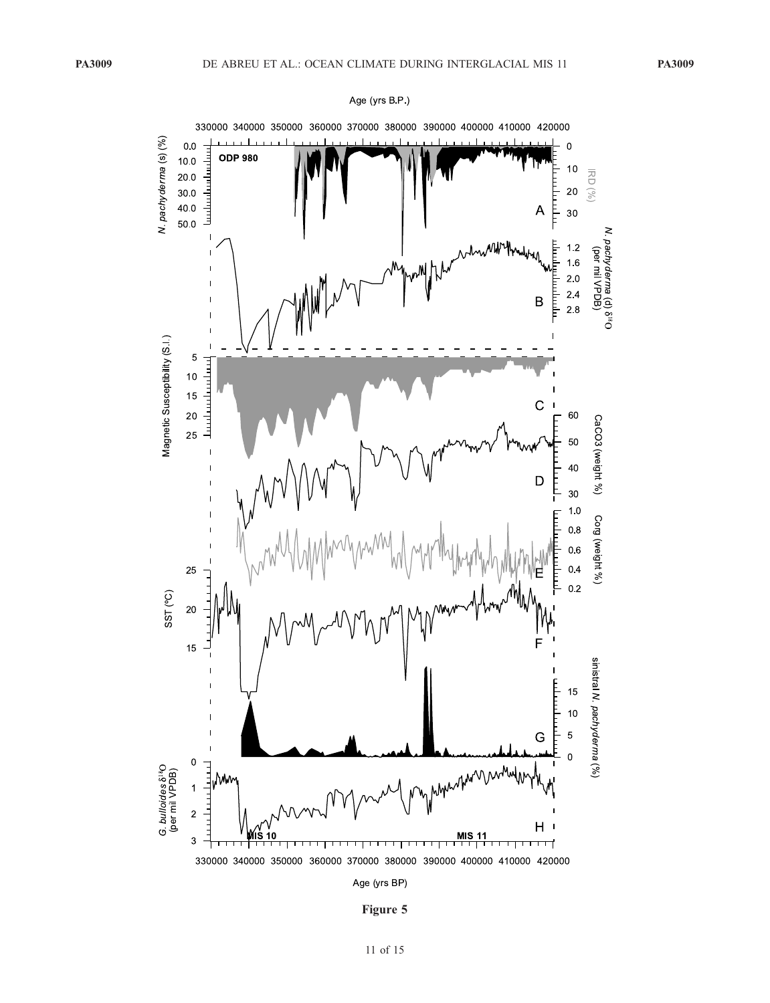

Age (yrs B.P.)

Figure 5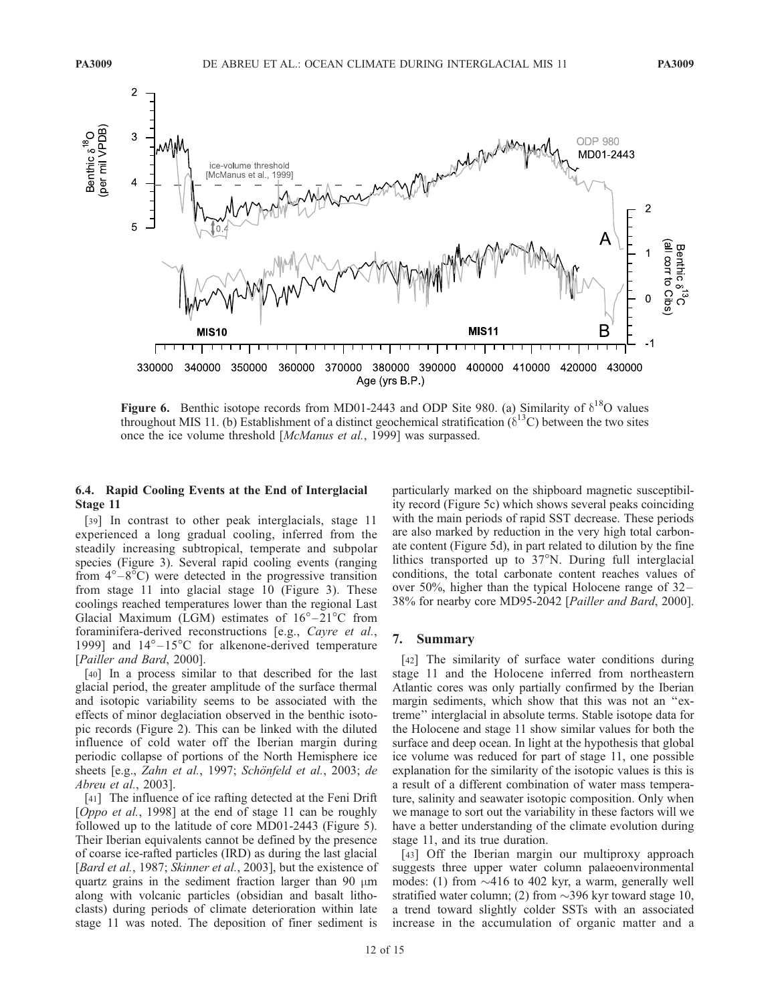

Figure 6. Benthic isotope records from MD01-2443 and ODP Site 980. (a) Similarity of  $\delta^{18}O$  values throughout MIS 11. (b) Establishment of a distinct geochemical stratification  $(\delta^{13}C)$  between the two sites once the ice volume threshold [McManus et al., 1999] was surpassed.

## 6.4. Rapid Cooling Events at the End of Interglacial Stage 11

[39] In contrast to other peak interglacials, stage 11 experienced a long gradual cooling, inferred from the steadily increasing subtropical, temperate and subpolar species (Figure 3). Several rapid cooling events (ranging from  $4^{\circ}-8^{\circ}$ C) were detected in the progressive transition from stage 11 into glacial stage 10 (Figure 3). These coolings reached temperatures lower than the regional Last Glacial Maximum (LGM) estimates of  $16^{\circ} - 21^{\circ}$ C from foraminifera-derived reconstructions [e.g., Cayre et al., 1999] and  $14^{\circ}-15^{\circ}$ C for alkenone-derived temperature [Pailler and Bard, 2000].

[40] In a process similar to that described for the last glacial period, the greater amplitude of the surface thermal and isotopic variability seems to be associated with the effects of minor deglaciation observed in the benthic isotopic records (Figure 2). This can be linked with the diluted influence of cold water off the Iberian margin during periodic collapse of portions of the North Hemisphere ice sheets [e.g., Zahn et al., 1997; Schönfeld et al., 2003; de Abreu et al., 2003].

[41] The influence of ice rafting detected at the Feni Drift [Oppo et al., 1998] at the end of stage 11 can be roughly followed up to the latitude of core MD01-2443 (Figure 5). Their Iberian equivalents cannot be defined by the presence of coarse ice-rafted particles (IRD) as during the last glacial [Bard et al., 1987; Skinner et al., 2003], but the existence of quartz grains in the sediment fraction larger than 90  $\mu$ m along with volcanic particles (obsidian and basalt lithoclasts) during periods of climate deterioration within late stage 11 was noted. The deposition of finer sediment is

particularly marked on the shipboard magnetic susceptibility record (Figure 5c) which shows several peaks coinciding with the main periods of rapid SST decrease. These periods are also marked by reduction in the very high total carbonate content (Figure 5d), in part related to dilution by the fine lithics transported up to 37°N. During full interglacial conditions, the total carbonate content reaches values of over 50%, higher than the typical Holocene range of 32– 38% for nearby core MD95-2042 [Pailler and Bard, 2000].

# 7. Summary

[42] The similarity of surface water conditions during stage 11 and the Holocene inferred from northeastern Atlantic cores was only partially confirmed by the Iberian margin sediments, which show that this was not an ''extreme'' interglacial in absolute terms. Stable isotope data for the Holocene and stage 11 show similar values for both the surface and deep ocean. In light at the hypothesis that global ice volume was reduced for part of stage 11, one possible explanation for the similarity of the isotopic values is this is a result of a different combination of water mass temperature, salinity and seawater isotopic composition. Only when we manage to sort out the variability in these factors will we have a better understanding of the climate evolution during stage 11, and its true duration.

[43] Off the Iberian margin our multiproxy approach suggests three upper water column palaeoenvironmental modes: (1) from  $\sim$ 416 to 402 kyr, a warm, generally well stratified water column; (2) from  $\sim$ 396 kyr toward stage 10, a trend toward slightly colder SSTs with an associated increase in the accumulation of organic matter and a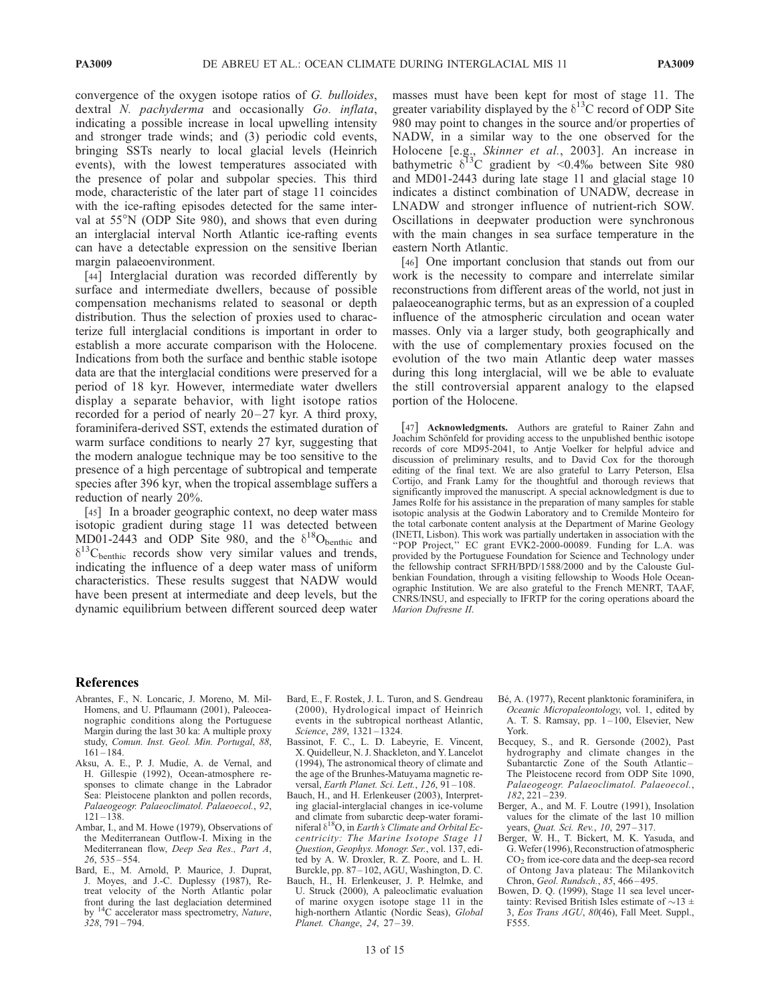convergence of the oxygen isotope ratios of G. bulloides, dextral N. *pachyderma* and occasionally Go. *inflata*, indicating a possible increase in local upwelling intensity and stronger trade winds; and (3) periodic cold events, bringing SSTs nearly to local glacial levels (Heinrich events), with the lowest temperatures associated with the presence of polar and subpolar species. This third mode, characteristic of the later part of stage 11 coincides with the ice-rafting episodes detected for the same interval at 55°N (ODP Site 980), and shows that even during an interglacial interval North Atlantic ice-rafting events can have a detectable expression on the sensitive Iberian margin palaeoenvironment.

[44] Interglacial duration was recorded differently by surface and intermediate dwellers, because of possible compensation mechanisms related to seasonal or depth distribution. Thus the selection of proxies used to characterize full interglacial conditions is important in order to establish a more accurate comparison with the Holocene. Indications from both the surface and benthic stable isotope data are that the interglacial conditions were preserved for a period of 18 kyr. However, intermediate water dwellers display a separate behavior, with light isotope ratios recorded for a period of nearly  $20-27$  kyr. A third proxy, foraminifera-derived SST, extends the estimated duration of warm surface conditions to nearly 27 kyr, suggesting that the modern analogue technique may be too sensitive to the presence of a high percentage of subtropical and temperate species after 396 kyr, when the tropical assemblage suffers a reduction of nearly 20%.

[45] In a broader geographic context, no deep water mass isotopic gradient during stage 11 was detected between MD01-2443 and ODP Site 980, and the  $\delta^{18}O_{\text{benthic}}$  and  $\delta^{13}$ C<sub>benthic</sub> records show very similar values and trends, indicating the influence of a deep water mass of uniform characteristics. These results suggest that NADW would have been present at intermediate and deep levels, but the dynamic equilibrium between different sourced deep water masses must have been kept for most of stage 11. The greater variability displayed by the  $\delta^{13}$ C record of ODP Site 980 may point to changes in the source and/or properties of NADW, in a similar way to the one observed for the Holocene [e.g., Skinner et al., 2003]. An increase in bathymetric  $\delta^{13}C$  gradient by <0.4‰ between Site 980 and MD01-2443 during late stage 11 and glacial stage 10 indicates a distinct combination of UNADW, decrease in LNADW and stronger influence of nutrient-rich SOW. Oscillations in deepwater production were synchronous with the main changes in sea surface temperature in the eastern North Atlantic.

[46] One important conclusion that stands out from our work is the necessity to compare and interrelate similar reconstructions from different areas of the world, not just in palaeoceanographic terms, but as an expression of a coupled influence of the atmospheric circulation and ocean water masses. Only via a larger study, both geographically and with the use of complementary proxies focused on the evolution of the two main Atlantic deep water masses during this long interglacial, will we be able to evaluate the still controversial apparent analogy to the elapsed portion of the Holocene.

[47] Acknowledgments. Authors are grateful to Rainer Zahn and Joachim Schönfeld for providing access to the unpublished benthic isotope records of core MD95-2041, to Antje Voelker for helpful advice and discussion of preliminary results, and to David Cox for the thorough editing of the final text. We are also grateful to Larry Peterson, Elsa Cortijo, and Frank Lamy for the thoughtful and thorough reviews that significantly improved the manuscript. A special acknowledgment is due to James Rolfe for his assistance in the preparation of many samples for stable isotopic analysis at the Godwin Laboratory and to Cremilde Monteiro for the total carbonate content analysis at the Department of Marine Geology (INETI, Lisbon). This work was partially undertaken in association with the "POP Project," EC grant EVK2-2000-00089. Funding for L.A. was provided by the Portuguese Foundation for Science and Technology under the fellowship contract SFRH/BPD/1588/2000 and by the Calouste Gulbenkian Foundation, through a visiting fellowship to Woods Hole Oceanographic Institution. We are also grateful to the French MENRT, TAAF, CNRS/INSU, and especially to IFRTP for the coring operations aboard the Marion Dufresne II.

#### References

- Abrantes, F., N. Loncaric, J. Moreno, M. Mil-Homens, and U. Pflaumann (2001), Paleoceanographic conditions along the Portuguese Margin during the last 30 ka: A multiple proxy study, Comun. Inst. Geol. Min. Portugal, 88,  $161 - 184.$
- Aksu, A. E., P. J. Mudie, A. de Vernal, and H. Gillespie (1992), Ocean-atmosphere responses to climate change in the Labrador Sea: Pleistocene plankton and pollen records, Palaeogeogr. Palaeoclimatol. Palaeoecol., 92,  $121 - 138$ .
- Ambar, I., and M. Howe (1979), Observations of the Mediterranean Outflow-I. Mixing in the Mediterranean flow, Deep Sea Res., Part A, 26, 535 – 554.
- Bard, E., M. Arnold, P. Maurice, J. Duprat, J. Moyes, and J.-C. Duplessy (1987), Retreat velocity of the North Atlantic polar front during the last deglaciation determined by <sup>14</sup>C accelerator mass spectrometry, Nature,  $328, 791 - 794.$
- Bard, E., F. Rostek, J. L. Turon, and S. Gendreau (2000), Hydrological impact of Heinrich events in the subtropical northeast Atlantic, Science, 289, 1321 – 1324.
- Bassinot, F. C., L. D. Labeyrie, E. Vincent, X. Quidelleur, N. J. Shackleton, and Y. Lancelot (1994), The astronomical theory of climate and the age of the Brunhes-Matuyama magnetic reversal, Earth Planet. Sci. Lett., 126, 91-108.
- Bauch, H., and H. Erlenkeuser (2003), Interpreting glacial-interglacial changes in ice-volume and climate from subarctic deep-water foraminiferal  $\delta^{18}O$ , in Earth's Climate and Orbital Eccentricity: The Marine Isotope Stage 11 Question, Geophys. Monogr. Ser., vol. 137, edited by A. W. Droxler, R. Z. Poore, and L. H. Burckle, pp. 87 – 102, AGU, Washington, D. C.
- Bauch, H., H. Erlenkeuser, J. P. Helmke, and U. Struck (2000), A paleoclimatic evaluation of marine oxygen isotope stage 11 in the high-northern Atlantic (Nordic Seas), Global Planet. Change, 24, 27-39.
- Bé, A. (1977), Recent planktonic foraminifera, in Oceanic Micropaleontology, vol. 1, edited by A. T. S. Ramsay, pp. 1-100, Elsevier, New York.
- Becquey, S., and R. Gersonde (2002), Past hydrography and climate changes in the Subantarctic Zone of the South Atlantic – The Pleistocene record from ODP Site 1090, Palaeogeogr. Palaeoclimatol. Palaeoecol.,  $182, 221 - 239.$
- Berger, A., and M. F. Loutre (1991), Insolation values for the climate of the last 10 million years, *Quat. Sci. Rev.*, 10, 297-317.
- Berger, W. H., T. Bickert, M. K. Yasuda, and G.Wefer (1996), Reconstruction of atmospheric CO2 from ice-core data and the deep-sea record of Ontong Java plateau: The Milankovitch Chron, Geol. Rundsch., 85, 466 – 495.
- Bowen, D. Q. (1999), Stage 11 sea level uncertainty: Revised British Isles estimate of  $\sim$ 13 ± 3, Eos Trans AGU, 80(46), Fall Meet. Suppl., F555.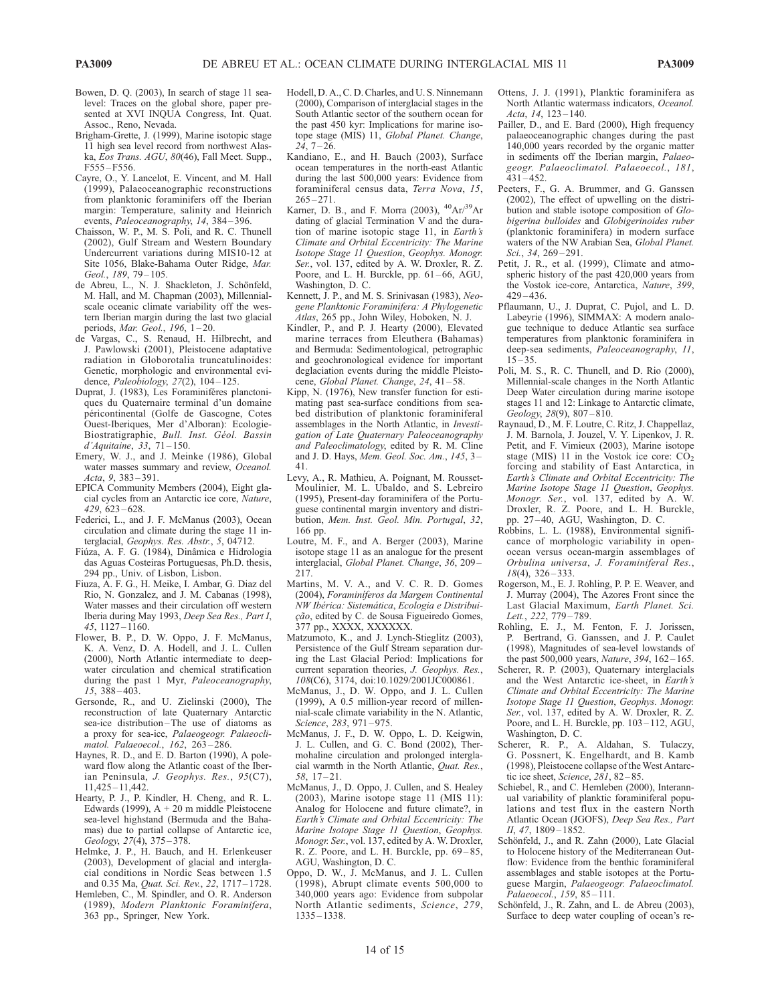- Bowen, D. Q. (2003), In search of stage 11 sealevel: Traces on the global shore, paper presented at XVI INQUA Congress, Int. Quat. Assoc., Reno, Nevada.
- Brigham-Grette, J. (1999), Marine isotopic stage 11 high sea level record from northwest Alaska, Eos Trans. AGU, 80(46), Fall Meet. Supp., F555 – F556.
- Cayre, O., Y. Lancelot, E. Vincent, and M. Hall (1999), Palaeoceanographic reconstructions from planktonic foraminifers off the Iberian margin: Temperature, salinity and Heinrich events, Paleoceanography, 14, 384-396.
- Chaisson, W. P., M. S. Poli, and R. C. Thunell (2002), Gulf Stream and Western Boundary Undercurrent variations during MIS10-12 at Site 1056, Blake-Bahama Outer Ridge, Mar. Geol., 189, 79-105.
- de Abreu, L., N. J. Shackleton, J. Schönfeld, M. Hall, and M. Chapman (2003), Millennialscale oceanic climate variability off the western Iberian margin during the last two glacial periods, *Mar. Geol.*, 196, 1-20.
- de Vargas, C., S. Renaud, H. Hilbrecht, and J. Pawlowski (2001), Pleistocene adaptative radiation in Globorotalia truncatulinoides: Genetic, morphologic and environmental evidence, *Paleobiology*, 27(2), 104-125.
- Duprat, J. (1983), Les Foraminiféres planctoniques du Quaternaire terminal d'un domaine péricontinental (Golfe de Gascogne, Cotes Ouest-Iberiques, Mer d'Alboran): Ecologie-Biostratigraphie, Bull. Inst. Géol. Bassin d'Aquitaine, 33, 71 – 150.
- Emery, W. J., and J. Meinke (1986), Global water masses summary and review, Oceanol. Acta, 9, 383 – 391.
- EPICA Community Members (2004), Eight glacial cycles from an Antarctic ice core, Nature, 429, 623 – 628.
- Federici, L., and J. F. McManus (2003), Ocean circulation and climate during the stage 11 interglacial, Geophys. Res. Abstr., 5, 04712.
- Fiúza, A. F. G. (1984), Dinâmica e Hidrologia das Aguas Costeiras Portuguesas, Ph.D. thesis, 294 pp., Univ. of Lisbon, Lisbon.
- Fiuza, A. F. G., H. Meike, I. Ambar, G. Diaz del Rio, N. Gonzalez, and J. M. Cabanas (1998), Water masses and their circulation off western Iberia during May 1993, Deep Sea Res., Part I, 45, 1127 – 1160.
- Flower, B. P., D. W. Oppo, J. F. McManus, K. A. Venz, D. A. Hodell, and J. L. Cullen (2000), North Atlantic intermediate to deepwater circulation and chemical stratification during the past 1 Myr, Paleoceanography,  $15, 388 - 403.$
- Gersonde, R., and U. Zielinski (2000), The reconstruction of late Quaternary Antarctic sea-ice distribution-The use of diatoms as a proxy for sea-ice, Palaeogeogr. Palaeoclimatol. Palaeoecol., 162, 263 – 286.
- Haynes, R. D., and E. D. Barton (1990), A poleward flow along the Atlantic coast of the Iberian Peninsula, J. Geophys. Res., 95(C7), 11,425 – 11,442.
- Hearty, P. J., P. Kindler, H. Cheng, and R. L. Edwards (1999),  $A + 20$  m middle Pleistocene sea-level highstand (Bermuda and the Bahamas) due to partial collapse of Antarctic ice, Geology, 27(4), 375 – 378.
- Helmke, J. P., H. Bauch, and H. Erlenkeuser (2003), Development of glacial and interglacial conditions in Nordic Seas between 1.5 and 0.35 Ma, Quat. Sci. Rev., 22, 1717 – 1728.
- Hemleben, C., M. Spindler, and O. R. Anderson (1989), Modern Planktonic Foraminifera,
- 363 pp., Springer, New York.
- Hodell, D. A., C. D. Charles, and U. S. Ninnemann (2000), Comparison of interglacial stages in the South Atlantic sector of the southern ocean for the past 450 kyr: Implications for marine isotope stage (MIS) 11, Global Planet. Change,  $24, 7 - 26.$
- Kandiano, E., and H. Bauch (2003), Surface ocean temperatures in the north-east Atlantic during the last 500,000 years: Evidence from foraminiferal census data, Terra Nova, 15,  $265 - 271$ .
- Karner, D. B., and F. Morra (2003),  $^{40}Ar/^{39}Ar$ dating of glacial Termination V and the duration of marine isotopic stage 11, in Earth's Climate and Orbital Eccentricity: The Marine Isotope Stage 11 Question, Geophys. Monogr. Ser., vol. 137, edited by A. W. Droxler, R. Z. Poore, and L. H. Burckle, pp. 61-66, AGU, Washington, D. C.
- Kennett, J. P., and M. S. Srinivasan (1983), Neogene Planktonic Foraminifera: A Phylogenetic Atlas, 265 pp., John Wiley, Hoboken, N. J.
- Kindler, P., and P. J. Hearty (2000), Elevated marine terraces from Eleuthera (Bahamas) and Bermuda: Sedimentological, petrographic and geochronological evidence for important deglaciation events during the middle Pleistocene, Global Planet. Change, 24, 41-58.
- Kipp, N. (1976), New transfer function for estimating past sea-surface conditions from seabed distribution of planktonic foraminiferal assemblages in the North Atlantic, in Investigation of Late Quaternary Paleoceanography and Paleoclimatology, edited by R. M. Cline and J. D. Hays, Mem. Geol. Soc. Am., 145, 3– 41.
- Levy, A., R. Mathieu, A. Poignant, M. Rousset-Moulinier, M. L. Ubaldo, and S. Lebreiro (1995), Present-day foraminifera of the Portuguese continental margin inventory and distribution, Mem. Inst. Geol. Min. Portugal, 32, 166 pp.
- Loutre, M. F., and A. Berger (2003), Marine isotope stage 11 as an analogue for the present interglacial, Global Planet. Change, 36, 209 – 217.
- Martins, M. V. A., and V. C. R. D. Gomes (2004), Foraminíferos da Margem Continental NW Ibérica: Sistemática, Ecologia e Distribuição, edited by C. de Sousa Figueiredo Gomes, 377 pp., XXXX, XXXXXX.
- Matzumoto, K., and J. Lynch-Stieglitz (2003), Persistence of the Gulf Stream separation during the Last Glacial Period: Implications for current separation theories, J. Geophys. Res., 108(C6), 3174, doi:10.1029/2001JC000861.
- McManus, J., D. W. Oppo, and J. L. Cullen (1999), A 0.5 million-year record of millennial-scale climate variability in the N. Atlantic, Science, 283, 971-975.
- McManus, J. F., D. W. Oppo, L. D. Keigwin, J. L. Cullen, and G. C. Bond (2002), Thermohaline circulation and prolonged interglacial warmth in the North Atlantic, Quat. Res.,  $58.17 - 21.$
- McManus, J., D. Oppo, J. Cullen, and S. Healey (2003), Marine isotope stage 11 (MIS 11): Analog for Holocene and future climate?, in Earth's Climate and Orbital Eccentricity: The Marine Isotope Stage 11 Question, Geophys. Monogr. Ser., vol. 137, edited by A. W. Droxler, R. Z. Poore, and L. H. Burckle, pp. 69-85, AGU, Washington, D. C.
- Oppo, D. W., J. McManus, and J. L. Cullen (1998), Abrupt climate events 500,000 to 340,000 years ago: Evidence from subpolar North Atlantic sediments, Science, 279, 1335 – 1338.
- Ottens, J. J. (1991), Planktic foraminifera as North Atlantic watermass indicators, Oceanol. Acta, 14, 123-140.
- Pailler, D., and E. Bard (2000), High frequency palaeoceanographic changes during the past 140,000 years recorded by the organic matter in sediments off the Iberian margin, Palaeogeogr. Palaeoclimatol. Palaeoecol., 181,  $431 - 452$ .
- Peeters, F., G. A. Brummer, and G. Ganssen (2002), The effect of upwelling on the distribution and stable isotope composition of Globigerina bulloides and Globigerinoides ruber (planktonic foraminifera) in modern surface waters of the NW Arabian Sea, Global Planet. Sci., 34, 269-291.
- Petit, J. R., et al. (1999), Climate and atmospheric history of the past 420,000 years from the Vostok ice-core, Antarctica, Nature, 399,  $429 - 436$ .
- Pflaumann, U., J. Duprat, C. Pujol, and L. D. Labeyrie (1996), SIMMAX: A modern analogue technique to deduce Atlantic sea surface temperatures from planktonic foraminifera in deep-sea sediments, Paleoceanography, 11,  $15 - 35.$
- Poli, M. S., R. C. Thunell, and D. Rio (2000), Millennial-scale changes in the North Atlantic Deep Water circulation during marine isotope stages 11 and 12: Linkage to Antarctic climate, Geology, 28(9), 807-810.
- Raynaud, D., M. F. Loutre, C. Ritz, J. Chappellaz, J. M. Barnola, J. Jouzel, V. Y. Lipenkov, J. R. Petit, and F. Vimieux (2003), Marine isotope stage (MIS) 11 in the Vostok ice core:  $CO<sub>2</sub>$ forcing and stability of East Antarctica, in Earth's Climate and Orbital Eccentricity: The Marine Isotope Stage 11 Question, Geophys. Monogr. Ser., vol. 137, edited by A. W. Droxler, R. Z. Poore, and L. H. Burckle, pp. 27 – 40, AGU, Washington, D. C.
- Robbins, L. L. (1988), Environmental significance of morphologic variability in openocean versus ocean-margin assemblages of Orbulina universa, J. Foraminiferal Res.,  $18(4)$ ,  $326 - 333$ .
- Rogerson, M., E. J. Rohling, P. P. E. Weaver, and J. Murray (2004), The Azores Front since the Last Glacial Maximum, Earth Planet. Sci. Lett., 222, 779-789.
- Rohling, E. J., M. Fenton, F. J. Jorissen, P. Bertrand, G. Ganssen, and J. P. Caulet (1998), Magnitudes of sea-level lowstands of the past  $500,000$  years, *Nature*,  $394, 162 - 165$ .
- Scherer, R. P. (2003), Quaternary interglacials and the West Antarctic ice-sheet, in Earth's Climate and Orbital Eccentricity: The Marine Isotope Stage 11 Question, Geophys. Monogr. Ser., vol. 137, edited by A. W. Droxler, R. Z. Poore, and L. H. Burckle, pp. 103-112, AGU, Washington, D. C.
- Scherer, R. P., A. Aldahan, S. Tulaczy, G. Possnert, K. Engelhardt, and B. Kamb (1998), Pleistocene collapse of the West Antarctic ice sheet, Science, 281, 82–85.
- Schiebel, R., and C. Hemleben (2000), Interannual variability of planktic foraminiferal populations and test flux in the eastern North Atlantic Ocean (JGOFS), Deep Sea Res., Part II, 47, 1809-1852.
- Schönfeld, J., and R. Zahn (2000), Late Glacial to Holocene history of the Mediterranean Outflow: Evidence from the benthic foraminiferal assemblages and stable isotopes at the Portuguese Margin, Palaeogeogr. Palaeoclimatol. Palaeoecol., 159, 85-111.
- Schönfeld, J., R. Zahn, and L. de Abreu (2003), Surface to deep water coupling of ocean's re-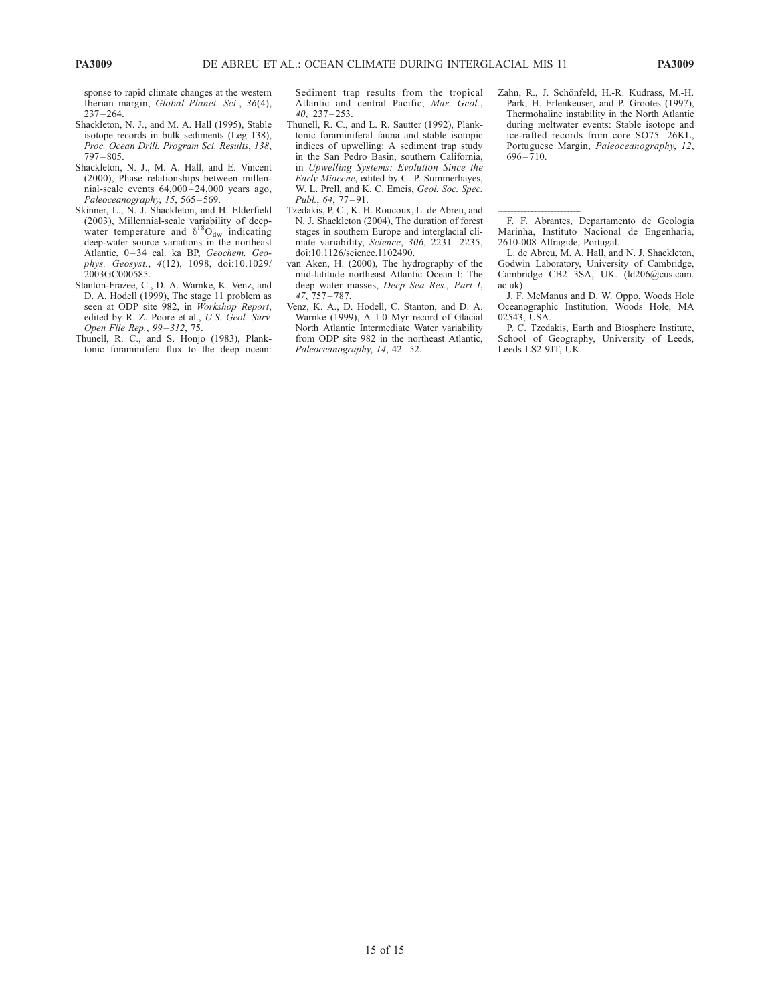sponse to rapid climate changes at the western Iberian margin, Global Planet. Sci., 36(4),  $237 - 264.$ 

- Shackleton, N. J., and M. A. Hall (1995), Stable isotope records in bulk sediments (Leg 138), Proc. Ocean Drill. Program Sci. Results, 138,  $797 - 805$ .
- Shackleton, N. J., M. A. Hall, and E. Vincent (2000), Phase relationships between millennial-scale events  $64,000 - 24,000$  years ago, Paleoceanography, 15, 565-569.
- Skinner, L., N. J. Shackleton, and H. Elderfield (2003), Millennial-scale variability of deepwater temperature and  $\delta^{18}O_{dw}$  indicating deep-water source variations in the northeast Atlantic, 0-34 cal. ka BP, Geochem. Geophys. Geosyst., 4(12), 1098, doi:10.1029/ 2003GC000585.
- Stanton-Frazee, C., D. A. Warnke, K. Venz, and D. A. Hodell (1999), The stage 11 problem as seen at ODP site 982, in Workshop Report, edited by R. Z. Poore et al., U.S. Geol. Surv. Open File Rep., 99–312, 75.

Thunell, R. C., and S. Honjo (1983), Planktonic foraminifera flux to the deep ocean: Sediment trap results from the tropical Atlantic and central Pacific, Mar. Geol., 40, 237 – 253.

- Thunell, R. C., and L. R. Sautter (1992), Planktonic foraminiferal fauna and stable isotopic indices of upwelling: A sediment trap study in the San Pedro Basin, southern California, in Upwelling Systems: Evolution Since the Early Miocene, edited by C. P. Summerhayes, W. L. Prell, and K. C. Emeis, Geol. Soc. Spec. Publ., 64, 77-91.
- Tzedakis, P. C., K. H. Roucoux, L. de Abreu, and N. J. Shackleton (2004), The duration of forest stages in southern Europe and interglacial climate variability, Science, 306, 2231-2235, doi:10.1126/science.1102490.
- van Aken, H. (2000), The hydrography of the mid-latitude northeast Atlantic Ocean I: The deep water masses, Deep Sea Res., Part I, 47, 757 – 787.
- Venz, K. A., D. Hodell, C. Stanton, and D. A. Warnke (1999), A 1.0 Myr record of Glacial North Atlantic Intermediate Water variability from ODP site 982 in the northeast Atlantic, Paleoceanography, 14, 42-52.

Zahn, R., J. Schönfeld, H.-R. Kudrass, M.-H. Park, H. Erlenkeuser, and P. Grootes (1997), Thermohaline instability in the North Atlantic during meltwater events: Stable isotope and ice-rafted records from core SO75-26KL, Portuguese Margin, Paleoceanography, 12,  $696 - 710.$ 

--F. F. Abrantes, Departamento de Geologia Marinha, Instituto Nacional de Engenharia, 2610-008 Alfragide, Portugal.

L. de Abreu, M. A. Hall, and N. J. Shackleton, Godwin Laboratory, University of Cambridge, Cambridge CB2 3SA, UK. (ld206@cus.cam. ac.uk)

J. F. McManus and D. W. Oppo, Woods Hole Oceanographic Institution, Woods Hole, MA 02543, USA.

P. C. Tzedakis, Earth and Biosphere Institute, School of Geography, University of Leeds, Leeds LS2 9JT, UK.